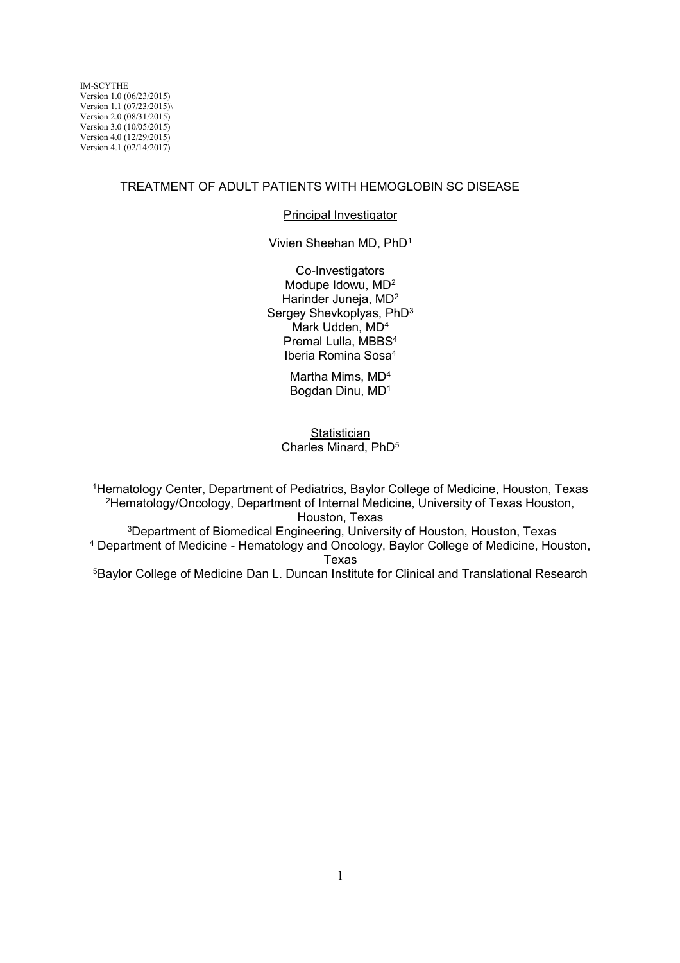#### TREATMENT OF ADULT PATIENTS WITH HEMOGLOBIN SC DISEASE

#### Principal Investigator

Vivien Sheehan MD, PhD<sup>1</sup>

Co-Investigators Modupe Idowu, MD<sup>2</sup> Harinder Juneja, MD<sup>2</sup> Sergey Shevkoplyas, PhD<sup>3</sup> Mark Udden, MD<sup>4</sup> Premal Lulla, MBBS<sup>4</sup> Iberia Romina Sosa<sup>4</sup>

> Martha Mims, MD<sup>4</sup> Bogdan Dinu, MD<sup>1</sup>

#### **Statistician** Charles Minard, PhD<sup>5</sup>

Hematology Center, Department of Pediatrics, Baylor College of Medicine, Houston, Texas Hematology/Oncology, Department of Internal Medicine, University of Texas Houston, Houston, Texas Department of Biomedical Engineering, University of Houston, Houston, Texas Department of Medicine - Hematology and Oncology, Baylor College of Medicine, Houston,

### Texas

<sup>5</sup>Baylor College of Medicine Dan L. Duncan Institute for Clinical and Translational Research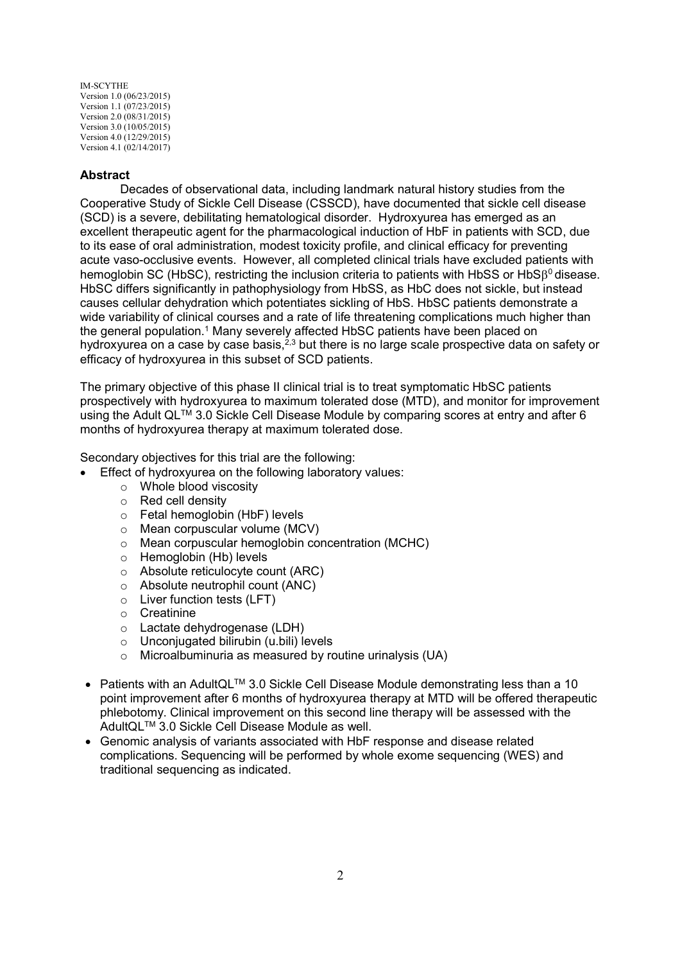### **Abstract**

Decades of observational data, including landmark natural history studies from the Cooperative Study of Sickle Cell Disease (CSSCD), have documented that sickle cell disease (SCD) is a severe, debilitating hematological disorder. Hydroxyurea has emerged as an excellent therapeutic agent for the pharmacological induction of HbF in patients with SCD, due to its ease of oral administration, modest toxicity profile, and clinical efficacy for preventing acute vaso-occlusive events. However, all completed clinical trials have excluded patients with hemoglobin SC (HbSC), restricting the inclusion criteria to patients with HbSS or HbS $\beta^0$  disease. HbSC differs significantly in pathophysiology from HbSS, as HbC does not sickle, but instead causes cellular dehydration which potentiates sickling of HbS. HbSC patients demonstrate a wide variability of clinical courses and a rate of life threatening complications much higher than the general population.<sup>1</sup> Many severely affected HbSC patients have been placed on hydroxyurea on a case by case basis,<sup>2,3</sup> but there is no large scale prospective data on safety or efficacy of hydroxyurea in this subset of SCD patients.

The primary objective of this phase II clinical trial is to treat symptomatic HbSC patients prospectively with hydroxyurea to maximum tolerated dose (MTD), and monitor for improvement using the Adult QL<sup>TM</sup> 3.0 Sickle Cell Disease Module by comparing scores at entry and after 6 months of hydroxyurea therapy at maximum tolerated dose.

Secondary objectives for this trial are the following:

- Effect of hydroxyurea on the following laboratory values:
	- o Whole blood viscosity
	- o Red cell density
	- o Fetal hemoglobin (HbF) levels
	- o Mean corpuscular volume (MCV)
	- o Mean corpuscular hemoglobin concentration (MCHC)
	- o Hemoglobin (Hb) levels
	- o Absolute reticulocyte count (ARC)
	- o Absolute neutrophil count (ANC)
	- o Liver function tests (LFT)
	- o Creatinine
	- o Lactate dehydrogenase (LDH)
	- o Unconjugated bilirubin (u.bili) levels
	- o Microalbuminuria as measured by routine urinalysis (UA)
- Patients with an AdultQL<sup>TM</sup> 3.0 Sickle Cell Disease Module demonstrating less than a 10 point improvement after 6 months of hydroxyurea therapy at MTD will be offered therapeutic phlebotomy. Clinical improvement on this second line therapy will be assessed with the AdultQLTM 3.0 Sickle Cell Disease Module as well.
- Genomic analysis of variants associated with HbF response and disease related complications. Sequencing will be performed by whole exome sequencing (WES) and traditional sequencing as indicated.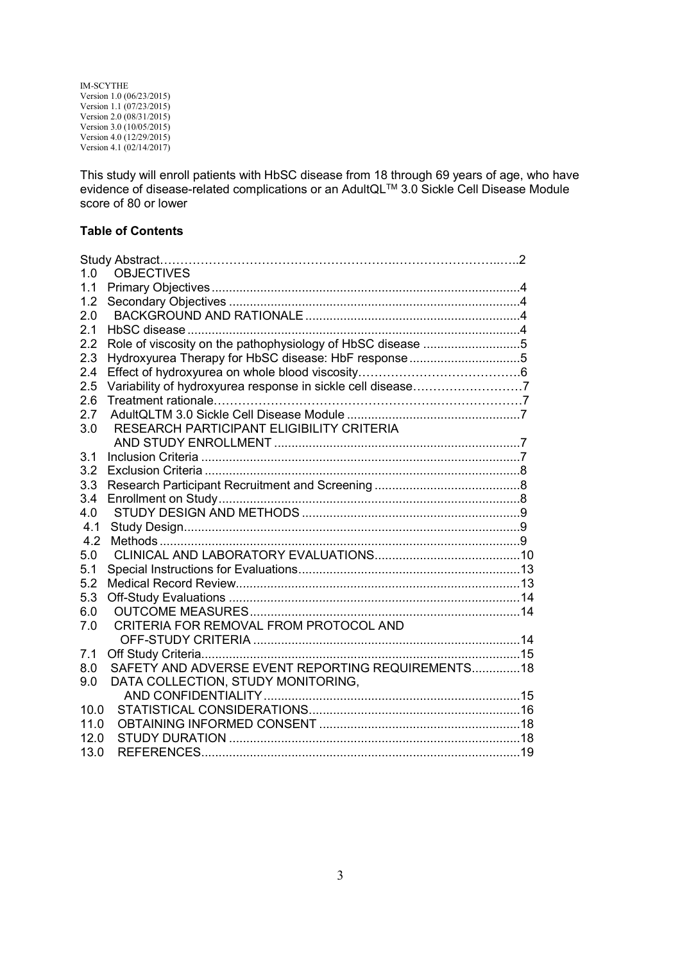This study will enroll patients with HbSC disease from 18 through 69 years of age, who have evidence of disease-related complications or an AdultQL™ 3.0 Sickle Cell Disease Module score of 80 or lower

### **Table of Contents**

| 1.0  | <b>OBJECTIVES</b>                                           |  |
|------|-------------------------------------------------------------|--|
| 1.1  |                                                             |  |
| 1.2  |                                                             |  |
| 2.0  |                                                             |  |
| 2.1  |                                                             |  |
| 2.2  | Role of viscosity on the pathophysiology of HbSC disease 5  |  |
| 2.3  | Hydroxyurea Therapy for HbSC disease: HbF response5         |  |
| 2.4  |                                                             |  |
| 2.5  | Variability of hydroxyurea response in sickle cell disease7 |  |
| 2.6  |                                                             |  |
| 2.7  |                                                             |  |
| 3.0  | RESEARCH PARTICIPANT ELIGIBILITY CRITERIA                   |  |
|      |                                                             |  |
| 3.1  |                                                             |  |
| 3.2  |                                                             |  |
| 3.3  |                                                             |  |
| 3.4  |                                                             |  |
| 4.0  |                                                             |  |
| 4.1  |                                                             |  |
| 4.2  |                                                             |  |
| 5.0  |                                                             |  |
| 5.1  |                                                             |  |
| 5.2  |                                                             |  |
| 5.3  |                                                             |  |
| 6.0  |                                                             |  |
| 7.0  | CRITERIA FOR REMOVAL FROM PROTOCOL AND                      |  |
|      |                                                             |  |
| 7.1  |                                                             |  |
| 8.0  | SAFETY AND ADVERSE EVENT REPORTING REQUIREMENTS 18          |  |
| 9.0  | DATA COLLECTION, STUDY MONITORING,                          |  |
|      |                                                             |  |
| 10.0 |                                                             |  |
| 11.0 |                                                             |  |
| 12.0 |                                                             |  |
| 13.0 |                                                             |  |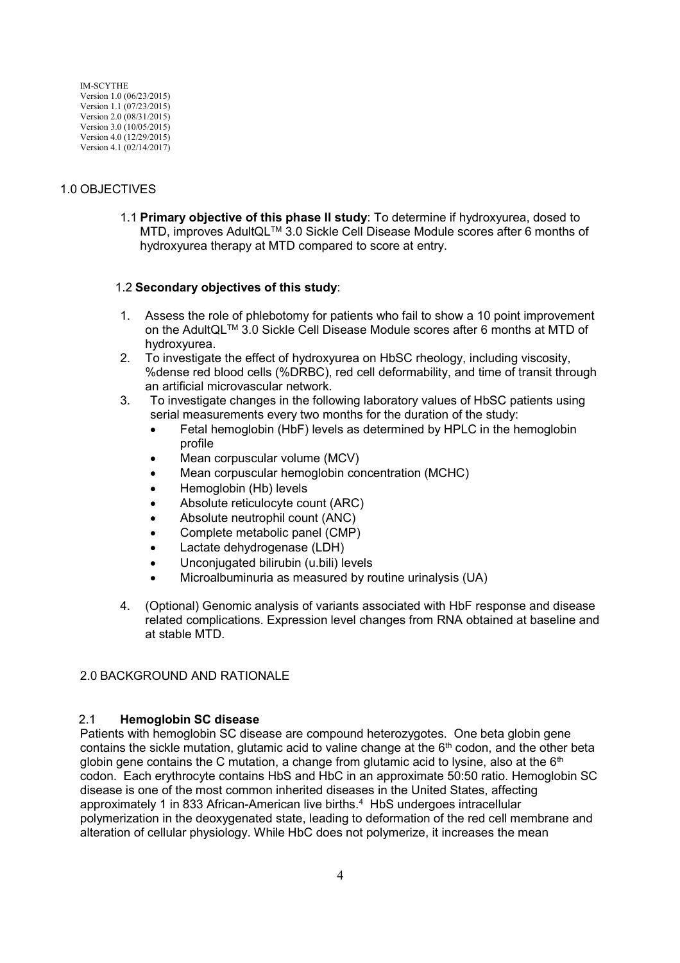# 1.0 OBJECTIVES

1.1 **Primary objective of this phase II study**: To determine if hydroxyurea, dosed to MTD, improves AdultQLTM 3.0 Sickle Cell Disease Module scores after 6 months of hydroxyurea therapy at MTD compared to score at entry.

## 1.2 **Secondary objectives of this study**:

- 1. Assess the role of phlebotomy for patients who fail to show a 10 point improvement on the AdultQLTM 3.0 Sickle Cell Disease Module scores after 6 months at MTD of hydroxyurea.
- 2. To investigate the effect of hydroxyurea on HbSC rheology, including viscosity, %dense red blood cells (%DRBC), red cell deformability, and time of transit through an artificial microvascular network.
- 3. To investigate changes in the following laboratory values of HbSC patients using serial measurements every two months for the duration of the study:
	- Fetal hemoglobin (HbF) levels as determined by HPLC in the hemoglobin profile
	- Mean corpuscular volume (MCV)
	- Mean corpuscular hemoglobin concentration (MCHC)
	- Hemoglobin (Hb) levels
	- Absolute reticulocyte count (ARC)
	- Absolute neutrophil count (ANC)
	- Complete metabolic panel (CMP)
	- Lactate dehydrogenase (LDH)
	- Unconjugated bilirubin (u.bili) levels
	- Microalbuminuria as measured by routine urinalysis (UA)
- 4. (Optional) Genomic analysis of variants associated with HbF response and disease related complications. Expression level changes from RNA obtained at baseline and at stable MTD.

### 2.0 BACKGROUND AND RATIONALE

### 2.1 **Hemoglobin SC disease**

Patients with hemoglobin SC disease are compound heterozygotes. One beta globin gene contains the sickle mutation, glutamic acid to valine change at the 6<sup>th</sup> codon, and the other beta globin gene contains the C mutation, a change from glutamic acid to lysine, also at the  $6<sup>th</sup>$ codon. Each erythrocyte contains HbS and HbC in an approximate 50:50 ratio. Hemoglobin SC disease is one of the most common inherited diseases in the United States, affecting approximately 1 in 833 African-American live births.<sup>4</sup> HbS undergoes intracellular polymerization in the deoxygenated state, leading to deformation of the red cell membrane and alteration of cellular physiology. While HbC does not polymerize, it increases the mean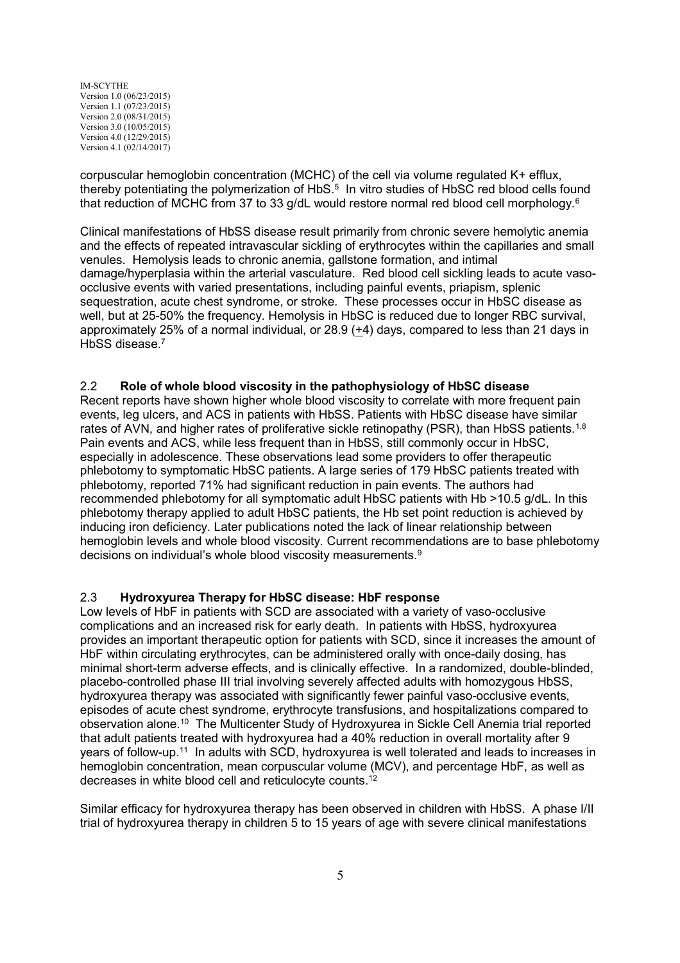corpuscular hemoglobin concentration (MCHC) of the cell via volume regulated K+ efflux, thereby potentiating the polymerization of HbS.<sup>5</sup> In vitro studies of HbSC red blood cells found that reduction of MCHC from 37 to 33 g/dL would restore normal red blood cell morphology.<sup>6</sup>

Clinical manifestations of HbSS disease result primarily from chronic severe hemolytic anemia and the effects of repeated intravascular sickling of erythrocytes within the capillaries and small venules. Hemolysis leads to chronic anemia, gallstone formation, and intimal damage/hyperplasia within the arterial vasculature. Red blood cell sickling leads to acute vasoocclusive events with varied presentations, including painful events, priapism, splenic sequestration, acute chest syndrome, or stroke. These processes occur in HbSC disease as well, but at 25-50% the frequency. Hemolysis in HbSC is reduced due to longer RBC survival, approximately 25% of a normal individual, or 28.9 (+4) days, compared to less than 21 days in HbSS disease.<sup>7</sup>

### 2.2 **Role of whole blood viscosity in the pathophysiology of HbSC disease**

Recent reports have shown higher whole blood viscosity to correlate with more frequent pain events, leg ulcers, and ACS in patients with HbSS. Patients with HbSC disease have similar rates of AVN, and higher rates of proliferative sickle retinopathy (PSR), than HbSS patients.<sup>1,8</sup> Pain events and ACS, while less frequent than in HbSS, still commonly occur in HbSC, especially in adolescence. These observations lead some providers to offer therapeutic phlebotomy to symptomatic HbSC patients. A large series of 179 HbSC patients treated with phlebotomy, reported 71% had significant reduction in pain events. The authors had recommended phlebotomy for all symptomatic adult HbSC patients with Hb >10.5 g/dL. In this phlebotomy therapy applied to adult HbSC patients, the Hb set point reduction is achieved by inducing iron deficiency. Later publications noted the lack of linear relationship between hemoglobin levels and whole blood viscosity. Current recommendations are to base phlebotomy decisions on individual's whole blood viscosity measurements.<sup>9</sup>

### 2.3 **Hydroxyurea Therapy for HbSC disease: HbF response**

Low levels of HbF in patients with SCD are associated with a variety of vaso-occlusive complications and an increased risk for early death. In patients with HbSS, hydroxyurea provides an important therapeutic option for patients with SCD, since it increases the amount of HbF within circulating erythrocytes, can be administered orally with once-daily dosing, has minimal short-term adverse effects, and is clinically effective. In a randomized, double-blinded, placebo-controlled phase III trial involving severely affected adults with homozygous HbSS, hydroxyurea therapy was associated with significantly fewer painful vaso-occlusive events, episodes of acute chest syndrome, erythrocyte transfusions, and hospitalizations compared to observation alone.<sup>10</sup> The Multicenter Study of Hydroxyurea in Sickle Cell Anemia trial reported that adult patients treated with hydroxyurea had a 40% reduction in overall mortality after 9 years of follow-up.<sup>11</sup> In adults with SCD, hydroxyurea is well tolerated and leads to increases in hemoglobin concentration, mean corpuscular volume (MCV), and percentage HbF, as well as decreases in white blood cell and reticulocyte counts.<sup>12</sup>

Similar efficacy for hydroxyurea therapy has been observed in children with HbSS. A phase I/II trial of hydroxyurea therapy in children 5 to 15 years of age with severe clinical manifestations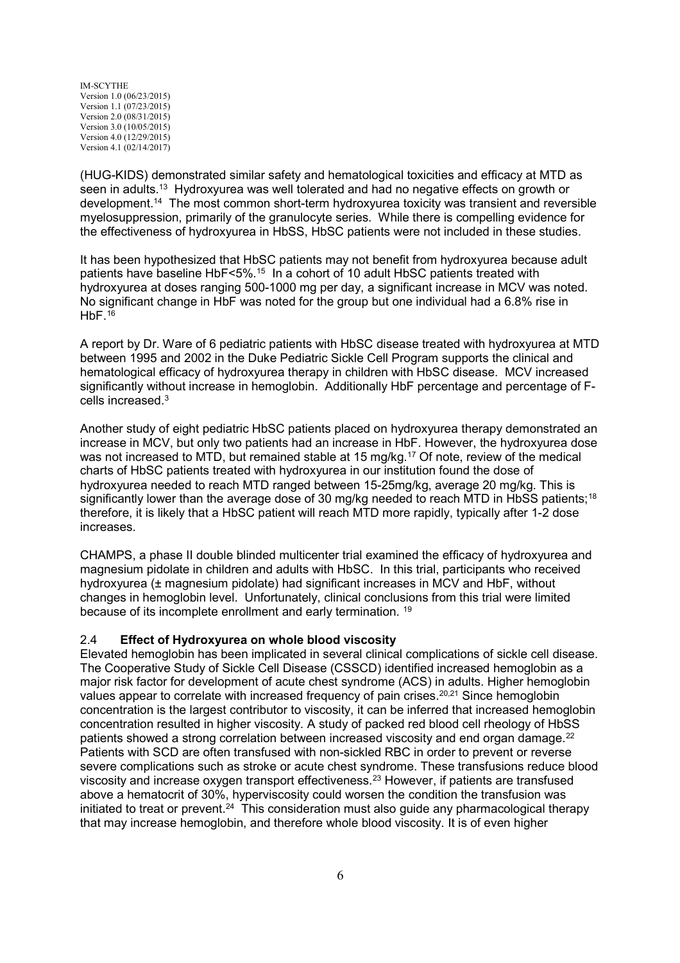(HUG-KIDS) demonstrated similar safety and hematological toxicities and efficacy at MTD as seen in adults.<sup>13</sup> Hydroxyurea was well tolerated and had no negative effects on growth or development.<sup>14</sup> The most common short-term hydroxyurea toxicity was transient and reversible myelosuppression, primarily of the granulocyte series. While there is compelling evidence for the effectiveness of hydroxyurea in HbSS, HbSC patients were not included in these studies.

It has been hypothesized that HbSC patients may not benefit from hydroxyurea because adult patients have baseline HbF<5%.<sup>15</sup> In a cohort of 10 adult HbSC patients treated with hydroxyurea at doses ranging 500-1000 mg per day, a significant increase in MCV was noted. No significant change in HbF was noted for the group but one individual had a 6.8% rise in  $HbF<sup>16</sup>$ 

A report by Dr. Ware of 6 pediatric patients with HbSC disease treated with hydroxyurea at MTD between 1995 and 2002 in the Duke Pediatric Sickle Cell Program supports the clinical and hematological efficacy of hydroxyurea therapy in children with HbSC disease. MCV increased significantly without increase in hemoglobin. Additionally HbF percentage and percentage of Fcells increased.<sup>3</sup>

Another study of eight pediatric HbSC patients placed on hydroxyurea therapy demonstrated an increase in MCV, but only two patients had an increase in HbF. However, the hydroxyurea dose was not increased to MTD, but remained stable at 15 mg/kg.<sup>17</sup> Of note, review of the medical charts of HbSC patients treated with hydroxyurea in our institution found the dose of hydroxyurea needed to reach MTD ranged between 15-25mg/kg, average 20 mg/kg. This is significantly lower than the average dose of 30 mg/kg needed to reach MTD in HbSS patients;<sup>18</sup> therefore, it is likely that a HbSC patient will reach MTD more rapidly, typically after 1-2 dose increases.

CHAMPS, a phase II double blinded multicenter trial examined the efficacy of hydroxyurea and magnesium pidolate in children and adults with HbSC. In this trial, participants who received hydroxyurea (± magnesium pidolate) had significant increases in MCV and HbF, without changes in hemoglobin level. Unfortunately, clinical conclusions from this trial were limited because of its incomplete enrollment and early termination. <sup>19</sup>

### 2.4 **Effect of Hydroxyurea on whole blood viscosity**

Elevated hemoglobin has been implicated in several clinical complications of sickle cell disease. The Cooperative Study of Sickle Cell Disease (CSSCD) identified increased hemoglobin as a major risk factor for development of acute chest syndrome (ACS) in adults. Higher hemoglobin values appear to correlate with increased frequency of pain crises.<sup>20,21</sup> Since hemoglobin concentration is the largest contributor to viscosity, it can be inferred that increased hemoglobin concentration resulted in higher viscosity. A study of packed red blood cell rheology of HbSS patients showed a strong correlation between increased viscosity and end organ damage.<sup>22</sup> Patients with SCD are often transfused with non-sickled RBC in order to prevent or reverse severe complications such as stroke or acute chest syndrome. These transfusions reduce blood viscosity and increase oxygen transport effectiveness.<sup>23</sup> However, if patients are transfused above a hematocrit of 30%, hyperviscosity could worsen the condition the transfusion was initiated to treat or prevent.<sup>24</sup> This consideration must also quide any pharmacological therapy that may increase hemoglobin, and therefore whole blood viscosity. It is of even higher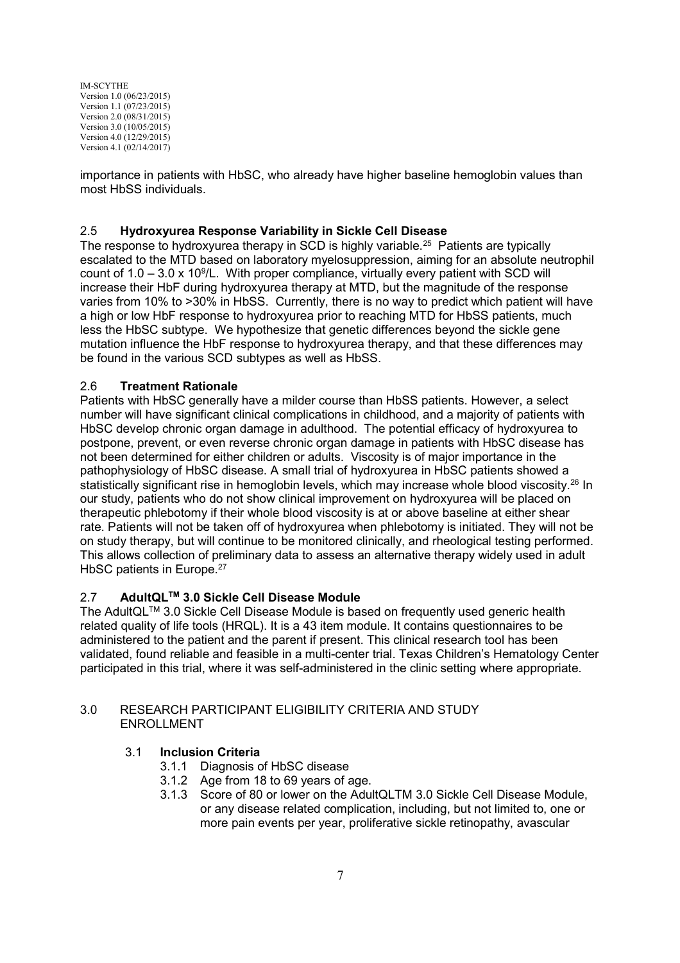importance in patients with HbSC, who already have higher baseline hemoglobin values than most HbSS individuals.

# 2.5 **Hydroxyurea Response Variability in Sickle Cell Disease**

The response to hydroxyurea therapy in SCD is highly variable.<sup>25</sup> Patients are typically escalated to the MTD based on laboratory myelosuppression, aiming for an absolute neutrophil count of  $1.0 - 3.0 \times 10^9$ /L. With proper compliance, virtually every patient with SCD will increase their HbF during hydroxyurea therapy at MTD, but the magnitude of the response varies from 10% to >30% in HbSS. Currently, there is no way to predict which patient will have a high or low HbF response to hydroxyurea prior to reaching MTD for HbSS patients, much less the HbSC subtype. We hypothesize that genetic differences beyond the sickle gene mutation influence the HbF response to hydroxyurea therapy, and that these differences may be found in the various SCD subtypes as well as HbSS.

## 2.6 **Treatment Rationale**

Patients with HbSC generally have a milder course than HbSS patients. However, a select number will have significant clinical complications in childhood, and a majority of patients with HbSC develop chronic organ damage in adulthood. The potential efficacy of hydroxyurea to postpone, prevent, or even reverse chronic organ damage in patients with HbSC disease has not been determined for either children or adults. Viscosity is of major importance in the pathophysiology of HbSC disease. A small trial of hydroxyurea in HbSC patients showed a statistically significant rise in hemoglobin levels, which may increase whole blood viscosity.<sup>26</sup> In our study, patients who do not show clinical improvement on hydroxyurea will be placed on therapeutic phlebotomy if their whole blood viscosity is at or above baseline at either shear rate. Patients will not be taken off of hydroxyurea when phlebotomy is initiated. They will not be on study therapy, but will continue to be monitored clinically, and rheological testing performed. This allows collection of preliminary data to assess an alternative therapy widely used in adult HbSC patients in Europe.<sup>27</sup>

# 2.7 **AdultQLTM 3.0 Sickle Cell Disease Module**

The AdultQLTM 3.0 Sickle Cell Disease Module is based on frequently used generic health related quality of life tools (HRQL). It is a 43 item module. It contains questionnaires to be administered to the patient and the parent if present. This clinical research tool has been validated, found reliable and feasible in a multi-center trial. Texas Children's Hematology Center participated in this trial, where it was self-administered in the clinic setting where appropriate.

### 3.0 RESEARCH PARTICIPANT ELIGIBILITY CRITERIA AND STUDY ENROLLMENT

### 3.1 **Inclusion Criteria**

- 3.1.1 Diagnosis of HbSC disease
- 3.1.2 Age from 18 to 69 years of age.
- 3.1.3 Score of 80 or lower on the AdultQLTM 3.0 Sickle Cell Disease Module, or any disease related complication, including, but not limited to, one or more pain events per year, proliferative sickle retinopathy, avascular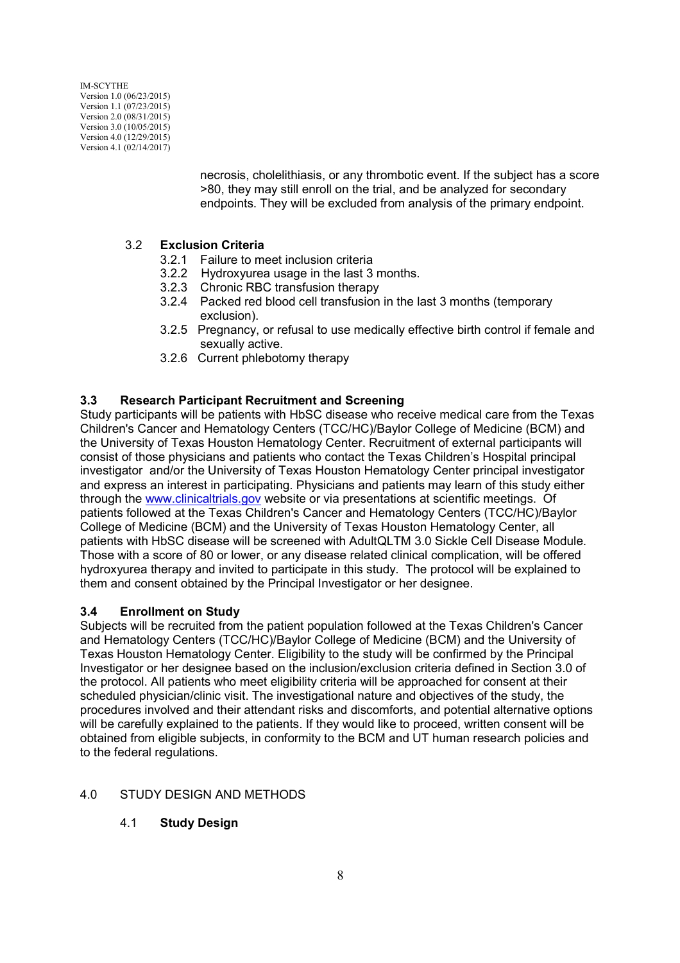> necrosis, cholelithiasis, or any thrombotic event. If the subject has a score >80, they may still enroll on the trial, and be analyzed for secondary endpoints. They will be excluded from analysis of the primary endpoint.

# 3.2 **Exclusion Criteria**

- 3.2.1 Failure to meet inclusion criteria
- 3.2.2 Hydroxyurea usage in the last 3 months.
- 3.2.3 Chronic RBC transfusion therapy
- 3.2.4 Packed red blood cell transfusion in the last 3 months (temporary exclusion).
- 3.2.5 Pregnancy, or refusal to use medically effective birth control if female and sexually active.
- 3.2.6 Current phlebotomy therapy

# **3.3 Research Participant Recruitment and Screening**

Study participants will be patients with HbSC disease who receive medical care from the Texas Children's Cancer and Hematology Centers (TCC/HC)/Baylor College of Medicine (BCM) and the University of Texas Houston Hematology Center. Recruitment of external participants will consist of those physicians and patients who contact the Texas Children's Hospital principal investigator and/or the University of Texas Houston Hematology Center principal investigator and express an interest in participating. Physicians and patients may learn of this study either through the www.clinicaltrials.gov website or via presentations at scientific meetings. Of patients followed at the Texas Children's Cancer and Hematology Centers (TCC/HC)/Baylor College of Medicine (BCM) and the University of Texas Houston Hematology Center, all patients with HbSC disease will be screened with AdultQLTM 3.0 Sickle Cell Disease Module. Those with a score of 80 or lower, or any disease related clinical complication, will be offered hydroxyurea therapy and invited to participate in this study. The protocol will be explained to them and consent obtained by the Principal Investigator or her designee.

# **3.4 Enrollment on Study**

Subjects will be recruited from the patient population followed at the Texas Children's Cancer and Hematology Centers (TCC/HC)/Baylor College of Medicine (BCM) and the University of Texas Houston Hematology Center. Eligibility to the study will be confirmed by the Principal Investigator or her designee based on the inclusion/exclusion criteria defined in Section 3.0 of the protocol. All patients who meet eligibility criteria will be approached for consent at their scheduled physician/clinic visit. The investigational nature and objectives of the study, the procedures involved and their attendant risks and discomforts, and potential alternative options will be carefully explained to the patients. If they would like to proceed, written consent will be obtained from eligible subjects, in conformity to the BCM and UT human research policies and to the federal regulations.

# 4.0 STUDY DESIGN AND METHODS

# 4.1 **Study Design**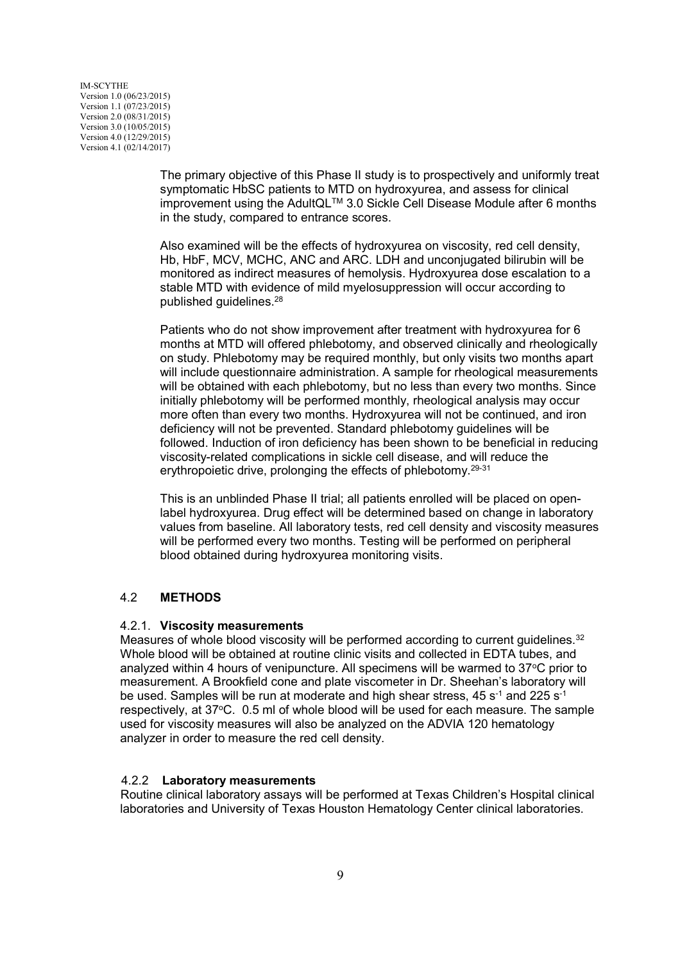> The primary objective of this Phase II study is to prospectively and uniformly treat symptomatic HbSC patients to MTD on hydroxyurea, and assess for clinical improvement using the AdultQLTM 3.0 Sickle Cell Disease Module after 6 months in the study, compared to entrance scores.

Also examined will be the effects of hydroxyurea on viscosity, red cell density, Hb, HbF, MCV, MCHC, ANC and ARC. LDH and unconjugated bilirubin will be monitored as indirect measures of hemolysis. Hydroxyurea dose escalation to a stable MTD with evidence of mild myelosuppression will occur according to published guidelines.<sup>28</sup>

Patients who do not show improvement after treatment with hydroxyurea for 6 months at MTD will offered phlebotomy, and observed clinically and rheologically on study. Phlebotomy may be required monthly, but only visits two months apart will include questionnaire administration. A sample for rheological measurements will be obtained with each phlebotomy, but no less than every two months. Since initially phlebotomy will be performed monthly, rheological analysis may occur more often than every two months. Hydroxyurea will not be continued, and iron deficiency will not be prevented. Standard phlebotomy guidelines will be followed. Induction of iron deficiency has been shown to be beneficial in reducing viscosity-related complications in sickle cell disease, and will reduce the erythropoietic drive, prolonging the effects of phlebotomy.29-31

This is an unblinded Phase II trial; all patients enrolled will be placed on openlabel hydroxyurea. Drug effect will be determined based on change in laboratory values from baseline. All laboratory tests, red cell density and viscosity measures will be performed every two months. Testing will be performed on peripheral blood obtained during hydroxyurea monitoring visits.

### 4.2 **METHODS**

### 4.2.1. **Viscosity measurements**

Measures of whole blood viscosity will be performed according to current guidelines.<sup>32</sup> Whole blood will be obtained at routine clinic visits and collected in EDTA tubes, and analyzed within 4 hours of venipuncture. All specimens will be warmed to  $37^{\circ}$ C prior to measurement. A Brookfield cone and plate viscometer in Dr. Sheehan's laboratory will be used. Samples will be run at moderate and high shear stress, 45  $s^{-1}$  and 225  $s^{-1}$ respectively, at 37°C. 0.5 ml of whole blood will be used for each measure. The sample used for viscosity measures will also be analyzed on the ADVIA 120 hematology analyzer in order to measure the red cell density.

### 4.2.2 **Laboratory measurements**

Routine clinical laboratory assays will be performed at Texas Children's Hospital clinical laboratories and University of Texas Houston Hematology Center clinical laboratories.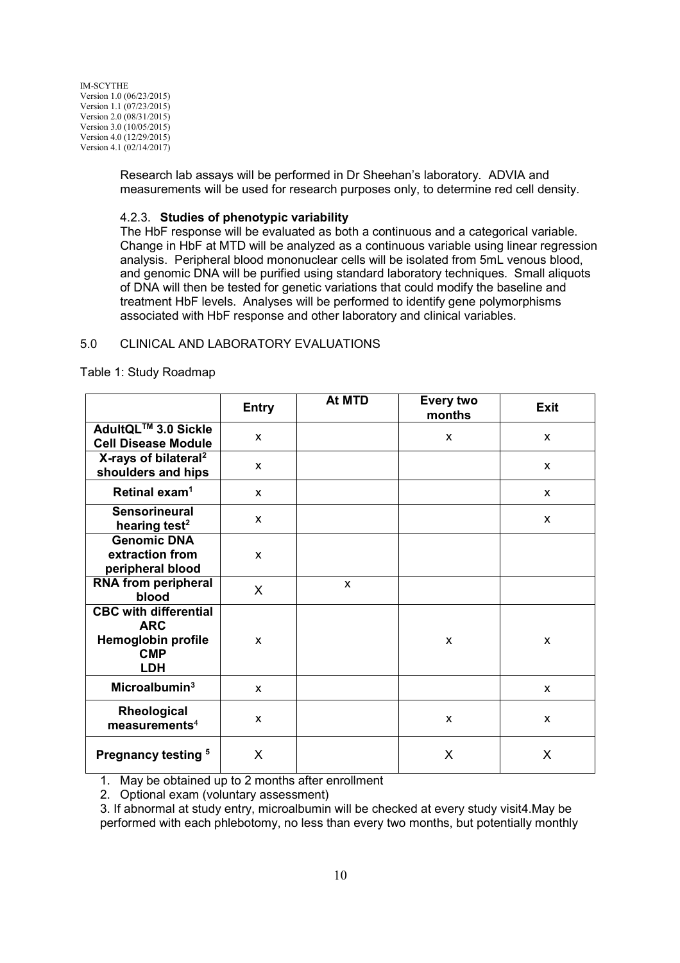> Research lab assays will be performed in Dr Sheehan's laboratory. ADVIA and measurements will be used for research purposes only, to determine red cell density.

#### 4.2.3. **Studies of phenotypic variability**

The HbF response will be evaluated as both a continuous and a categorical variable. Change in HbF at MTD will be analyzed as a continuous variable using linear regression analysis. Peripheral blood mononuclear cells will be isolated from 5mL venous blood, and genomic DNA will be purified using standard laboratory techniques. Small aliquots of DNA will then be tested for genetic variations that could modify the baseline and treatment HbF levels. Analyses will be performed to identify gene polymorphisms associated with HbF response and other laboratory and clinical variables.

#### 5.0 CLINICAL AND LABORATORY EVALUATIONS

Table 1: Study Roadmap

|                                                                                              | <b>Entry</b> | At MTD | <b>Every two</b><br>months | <b>Exit</b>  |
|----------------------------------------------------------------------------------------------|--------------|--------|----------------------------|--------------|
| AdultQL™ 3.0 Sickle<br><b>Cell Disease Module</b>                                            | $\mathsf{x}$ |        | X                          | $\mathsf{x}$ |
| X-rays of bilateral <sup>2</sup><br>shoulders and hips                                       | $\mathsf{x}$ |        |                            | X            |
| Retinal exam <sup>1</sup>                                                                    | $\mathsf{x}$ |        |                            | $\mathsf{x}$ |
| <b>Sensorineural</b><br>hearing test <sup>2</sup>                                            | $\mathsf{x}$ |        |                            | X            |
| <b>Genomic DNA</b><br>extraction from<br>peripheral blood                                    | $\mathsf{x}$ |        |                            |              |
| <b>RNA from peripheral</b><br>blood                                                          | $\mathsf{X}$ | X      |                            |              |
| <b>CBC with differential</b><br><b>ARC</b><br>Hemoglobin profile<br><b>CMP</b><br><b>LDH</b> | $\mathsf{x}$ |        | X                          | X            |
| Microalbumin $3$                                                                             | $\mathsf{x}$ |        |                            | X            |
| Rheological<br>measured                                                                      | X            |        | X                          | X            |
| Pregnancy testing <sup>5</sup>                                                               | X            |        | X                          | X            |

1. May be obtained up to 2 months after enrollment

2. Optional exam (voluntary assessment)

3. If abnormal at study entry, microalbumin will be checked at every study visit4.May be performed with each phlebotomy, no less than every two months, but potentially monthly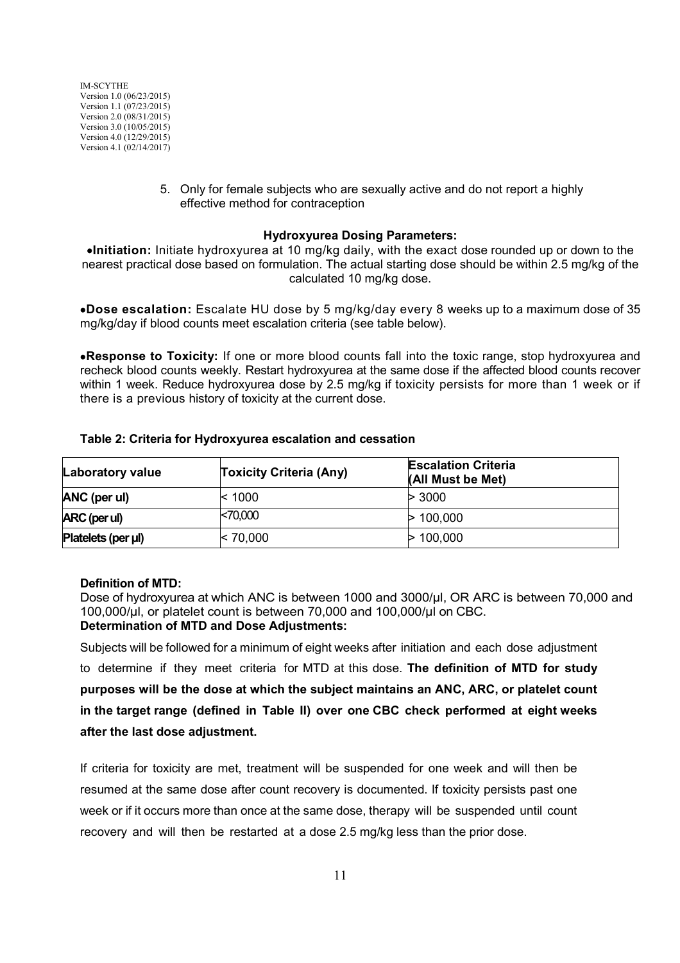> 5. Only for female subjects who are sexually active and do not report a highly effective method for contraception

#### **Hydroxyurea Dosing Parameters:**

**Initiation:** Initiate hydroxyurea at 10 mg/kg daily, with the exact dose rounded up or down to the nearest practical dose based on formulation. The actual starting dose should be within 2.5 mg/kg of the calculated 10 mg/kg dose.

**Dose escalation:** Escalate HU dose by 5 mg/kg/day every 8 weeks up to a maximum dose of 35 mg/kg/day if blood counts meet escalation criteria (see table below).

**Response to Toxicity:** If one or more blood counts fall into the toxic range, stop hydroxyurea and recheck blood counts weekly. Restart hydroxyurea at the same dose if the affected blood counts recover within 1 week. Reduce hydroxyurea dose by 2.5 mg/kg if toxicity persists for more than 1 week or if there is a previous history of toxicity at the current dose.

| <b>Laboratory value</b> | <b>Toxicity Criteria (Any)</b> | <b>Escalation Criteria</b><br>(All Must be Met) |
|-------------------------|--------------------------------|-------------------------------------------------|
| ANC (per ul)            | $ $ < 1000                     | > 3000                                          |
| ARC (per ul)            | < 70,000                       | > 100,000                                       |
| Platelets (per µl)      | $\ge 70,000$                   | > 100.000                                       |

#### **Table 2: Criteria for Hydroxyurea escalation and cessation**

### **Definition of MTD:**

Dose of hydroxyurea at which ANC is between 1000 and 3000/μl, OR ARC is between 70,000 and 100,000/μl, or platelet count is between 70,000 and 100,000/μl on CBC. **Determination of MTD and Dose Adjustments:**

Subjects will be followed for a minimum of eight weeks after initiation and each dose adjustment to determine if they meet criteria for MTD at this dose. **The definition of MTD for study purposes will be the dose at which the subject maintains an ANC, ARC, or platelet count in the target range (defined in Table II) over one CBC check performed at eight weeks after the last dose adjustment.**

If criteria for toxicity are met, treatment will be suspended for one week and will then be resumed at the same dose after count recovery is documented. If toxicity persists past one week or if it occurs more than once at the same dose, therapy will be suspended until count recovery and will then be restarted at a dose 2.5 mg/kg less than the prior dose.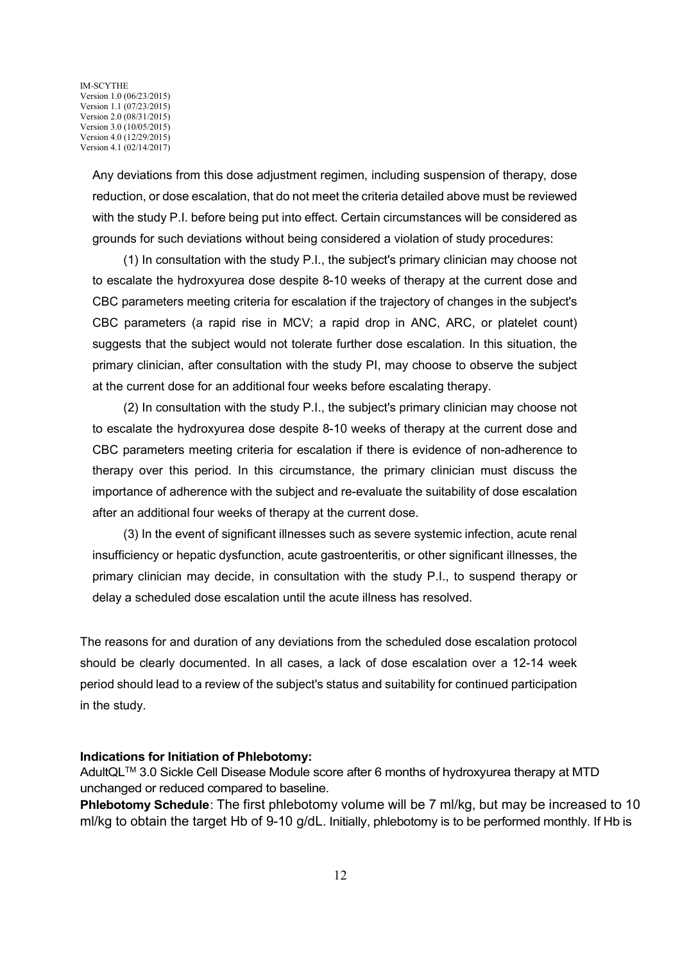> Any deviations from this dose adjustment regimen, including suspension of therapy, dose reduction, or dose escalation, that do not meet the criteria detailed above must be reviewed with the study P.I. before being put into effect. Certain circumstances will be considered as grounds for such deviations without being considered a violation of study procedures:

> (1) In consultation with the study P.I., the subject's primary clinician may choose not to escalate the hydroxyurea dose despite 8-10 weeks of therapy at the current dose and CBC parameters meeting criteria for escalation if the trajectory of changes in the subject's CBC parameters (a rapid rise in MCV; a rapid drop in ANC, ARC, or platelet count) suggests that the subject would not tolerate further dose escalation. In this situation, the primary clinician, after consultation with the study PI, may choose to observe the subject at the current dose for an additional four weeks before escalating therapy.

> (2) In consultation with the study P.I., the subject's primary clinician may choose not to escalate the hydroxyurea dose despite 8-10 weeks of therapy at the current dose and CBC parameters meeting criteria for escalation if there is evidence of non-adherence to therapy over this period. In this circumstance, the primary clinician must discuss the importance of adherence with the subject and re-evaluate the suitability of dose escalation after an additional four weeks of therapy at the current dose.

> (3) In the event of significant illnesses such as severe systemic infection, acute renal insufficiency or hepatic dysfunction, acute gastroenteritis, or other significant illnesses, the primary clinician may decide, in consultation with the study P.I., to suspend therapy or delay a scheduled dose escalation until the acute illness has resolved.

The reasons for and duration of any deviations from the scheduled dose escalation protocol should be clearly documented. In all cases, a lack of dose escalation over a 12-14 week period should lead to a review of the subject's status and suitability for continued participation in the study.

#### **Indications for Initiation of Phlebotomy:**

AdultQLTM 3.0 Sickle Cell Disease Module score after 6 months of hydroxyurea therapy at MTD unchanged or reduced compared to baseline.

**Phlebotomy Schedule:** The first phlebotomy volume will be 7 ml/kg, but may be increased to 10 ml/kg to obtain the target Hb of 9-10 g/dL. Initially, phlebotomy is to be performed monthly. If Hb is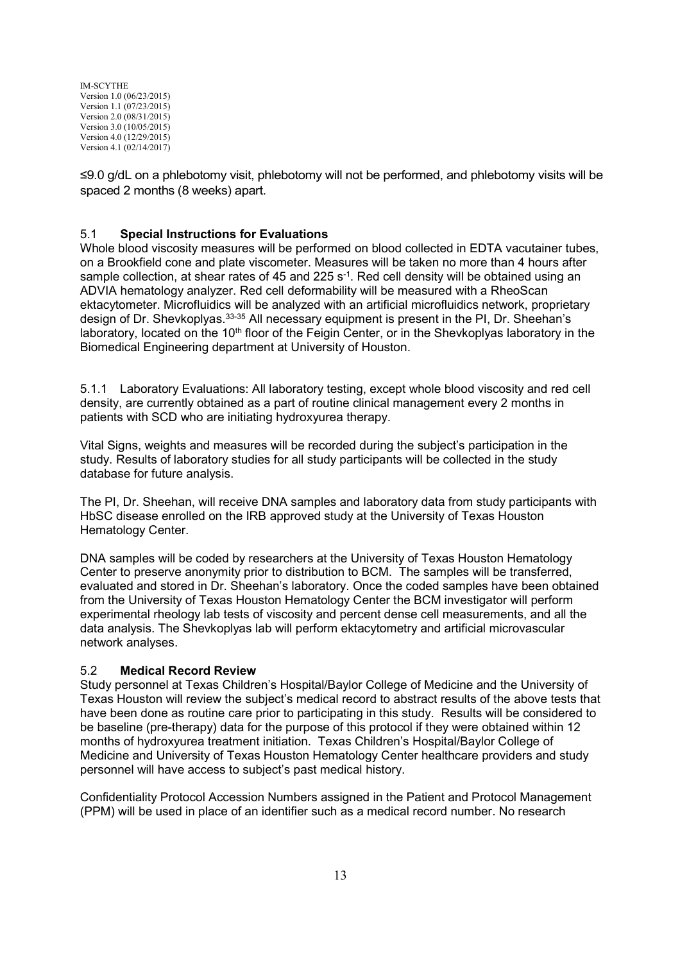≤9.0 g/dL on a phlebotomy visit, phlebotomy will not be performed, and phlebotomy visits will be spaced 2 months (8 weeks) apart.

## 5.1 **Special Instructions for Evaluations**

Whole blood viscosity measures will be performed on blood collected in EDTA vacutainer tubes, on a Brookfield cone and plate viscometer. Measures will be taken no more than 4 hours after sample collection, at shear rates of 45 and 225  $s<sup>-1</sup>$ . Red cell density will be obtained using an ADVIA hematology analyzer. Red cell deformability will be measured with a RheoScan ektacytometer. Microfluidics will be analyzed with an artificial microfluidics network, proprietary design of Dr. Shevkoplyas.33-35 All necessary equipment is present in the PI, Dr. Sheehan's laboratory, located on the 10<sup>th</sup> floor of the Feigin Center, or in the Shevkoplyas laboratory in the Biomedical Engineering department at University of Houston.

5.1.1 Laboratory Evaluations: All laboratory testing, except whole blood viscosity and red cell density, are currently obtained as a part of routine clinical management every 2 months in patients with SCD who are initiating hydroxyurea therapy.

Vital Signs, weights and measures will be recorded during the subject's participation in the study. Results of laboratory studies for all study participants will be collected in the study database for future analysis.

The PI, Dr. Sheehan, will receive DNA samples and laboratory data from study participants with HbSC disease enrolled on the IRB approved study at the University of Texas Houston Hematology Center.

DNA samples will be coded by researchers at the University of Texas Houston Hematology Center to preserve anonymity prior to distribution to BCM. The samples will be transferred, evaluated and stored in Dr. Sheehan's laboratory. Once the coded samples have been obtained from the University of Texas Houston Hematology Center the BCM investigator will perform experimental rheology lab tests of viscosity and percent dense cell measurements, and all the data analysis. The Shevkoplyas lab will perform ektacytometry and artificial microvascular network analyses.

### 5.2 **Medical Record Review**

Study personnel at Texas Children's Hospital/Baylor College of Medicine and the University of Texas Houston will review the subject's medical record to abstract results of the above tests that have been done as routine care prior to participating in this study. Results will be considered to be baseline (pre-therapy) data for the purpose of this protocol if they were obtained within 12 months of hydroxyurea treatment initiation. Texas Children's Hospital/Baylor College of Medicine and University of Texas Houston Hematology Center healthcare providers and study personnel will have access to subject's past medical history.

Confidentiality Protocol Accession Numbers assigned in the Patient and Protocol Management (PPM) will be used in place of an identifier such as a medical record number. No research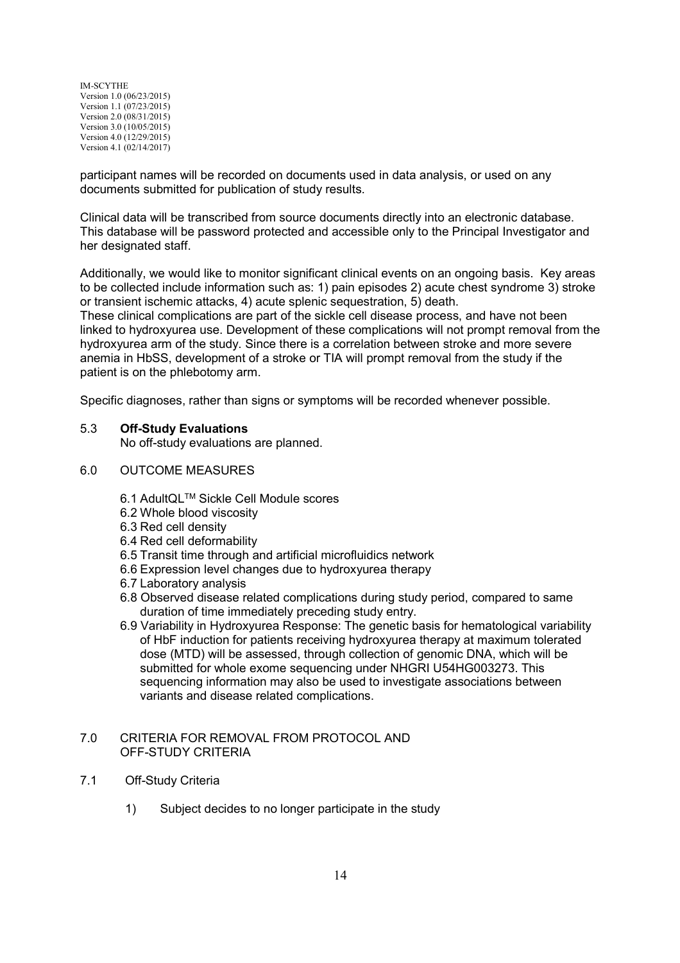participant names will be recorded on documents used in data analysis, or used on any documents submitted for publication of study results.

Clinical data will be transcribed from source documents directly into an electronic database. This database will be password protected and accessible only to the Principal Investigator and her designated staff.

Additionally, we would like to monitor significant clinical events on an ongoing basis. Key areas to be collected include information such as: 1) pain episodes 2) acute chest syndrome 3) stroke or transient ischemic attacks, 4) acute splenic sequestration, 5) death.

These clinical complications are part of the sickle cell disease process, and have not been linked to hydroxyurea use. Development of these complications will not prompt removal from the hydroxyurea arm of the study. Since there is a correlation between stroke and more severe anemia in HbSS, development of a stroke or TIA will prompt removal from the study if the patient is on the phlebotomy arm.

Specific diagnoses, rather than signs or symptoms will be recorded whenever possible.

#### 5.3 **Off-Study Evaluations**

No off-study evaluations are planned.

- 6.0 OUTCOME MEASURES
	- 6.1 AdultQLTM Sickle Cell Module scores
	- 6.2 Whole blood viscosity
	- 6.3 Red cell density
	- 6.4 Red cell deformability
	- 6.5 Transit time through and artificial microfluidics network
	- 6.6 Expression level changes due to hydroxyurea therapy
	- 6.7 Laboratory analysis
	- 6.8 Observed disease related complications during study period, compared to same duration of time immediately preceding study entry.
	- 6.9 Variability in Hydroxyurea Response: The genetic basis for hematological variability of HbF induction for patients receiving hydroxyurea therapy at maximum tolerated dose (MTD) will be assessed, through collection of genomic DNA, which will be submitted for whole exome sequencing under NHGRI U54HG003273. This sequencing information may also be used to investigate associations between variants and disease related complications.

#### 7.0 CRITERIA FOR REMOVAL FROM PROTOCOL AND OFF-STUDY CRITERIA

- 7.1 Off-Study Criteria
	- 1) Subject decides to no longer participate in the study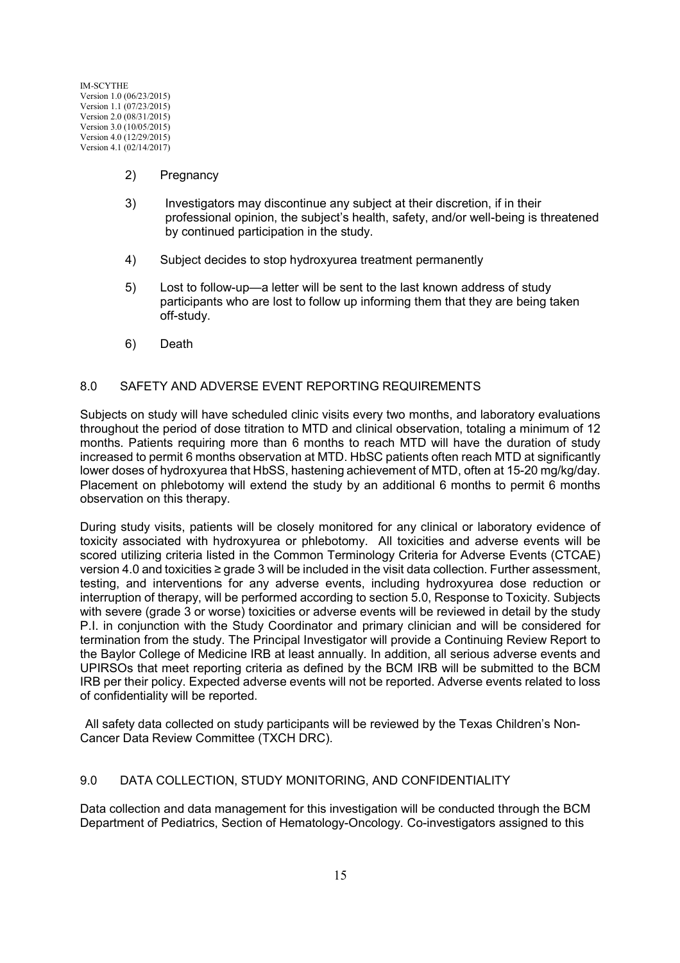- 2) Pregnancy
- 3) Investigators may discontinue any subject at their discretion, if in their professional opinion, the subject's health, safety, and/or well-being is threatened by continued participation in the study.
- 4) Subject decides to stop hydroxyurea treatment permanently
- 5) Lost to follow-up—a letter will be sent to the last known address of study participants who are lost to follow up informing them that they are being taken off-study.
- 6) Death

#### 8.0 SAFETY AND ADVERSE EVENT REPORTING REQUIREMENTS

Subjects on study will have scheduled clinic visits every two months, and laboratory evaluations throughout the period of dose titration to MTD and clinical observation, totaling a minimum of 12 months. Patients requiring more than 6 months to reach MTD will have the duration of study increased to permit 6 months observation at MTD. HbSC patients often reach MTD at significantly lower doses of hydroxyurea that HbSS, hastening achievement of MTD, often at 15-20 mg/kg/day. Placement on phlebotomy will extend the study by an additional 6 months to permit 6 months observation on this therapy.

During study visits, patients will be closely monitored for any clinical or laboratory evidence of toxicity associated with hydroxyurea or phlebotomy. All toxicities and adverse events will be scored utilizing criteria listed in the Common Terminology Criteria for Adverse Events (CTCAE) version 4.0 and toxicities ≥ grade 3 will be included in the visit data collection. Further assessment, testing, and interventions for any adverse events, including hydroxyurea dose reduction or interruption of therapy, will be performed according to section 5.0, Response to Toxicity. Subjects with severe (grade 3 or worse) toxicities or adverse events will be reviewed in detail by the study P.I. in conjunction with the Study Coordinator and primary clinician and will be considered for termination from the study. The Principal Investigator will provide a Continuing Review Report to the Baylor College of Medicine IRB at least annually. In addition, all serious adverse events and UPIRSOs that meet reporting criteria as defined by the BCM IRB will be submitted to the BCM IRB per their policy. Expected adverse events will not be reported. Adverse events related to loss of confidentiality will be reported.

All safety data collected on study participants will be reviewed by the Texas Children's Non-Cancer Data Review Committee (TXCH DRC).

### 9.0 DATA COLLECTION, STUDY MONITORING, AND CONFIDENTIALITY

Data collection and data management for this investigation will be conducted through the BCM Department of Pediatrics, Section of Hematology-Oncology. Co-investigators assigned to this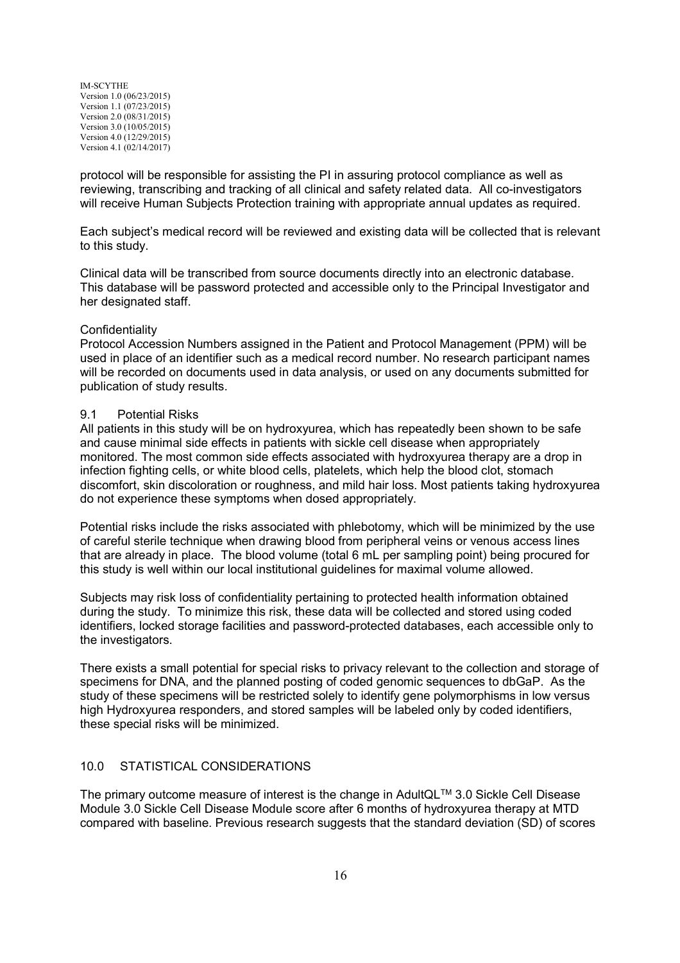protocol will be responsible for assisting the PI in assuring protocol compliance as well as reviewing, transcribing and tracking of all clinical and safety related data. All co-investigators will receive Human Subjects Protection training with appropriate annual updates as required.

Each subject's medical record will be reviewed and existing data will be collected that is relevant to this study.

Clinical data will be transcribed from source documents directly into an electronic database. This database will be password protected and accessible only to the Principal Investigator and her designated staff.

#### Confidentiality

Protocol Accession Numbers assigned in the Patient and Protocol Management (PPM) will be used in place of an identifier such as a medical record number. No research participant names will be recorded on documents used in data analysis, or used on any documents submitted for publication of study results.

#### 9.1 Potential Risks

All patients in this study will be on hydroxyurea, which has repeatedly been shown to be safe and cause minimal side effects in patients with sickle cell disease when appropriately monitored. The most common side effects associated with hydroxyurea therapy are a drop in infection fighting cells, or white blood cells, platelets, which help the blood clot, stomach discomfort, skin discoloration or roughness, and mild hair loss. Most patients taking hydroxyurea do not experience these symptoms when dosed appropriately.

Potential risks include the risks associated with phlebotomy, which will be minimized by the use of careful sterile technique when drawing blood from peripheral veins or venous access lines that are already in place. The blood volume (total 6 mL per sampling point) being procured for this study is well within our local institutional guidelines for maximal volume allowed.

Subjects may risk loss of confidentiality pertaining to protected health information obtained during the study. To minimize this risk, these data will be collected and stored using coded identifiers, locked storage facilities and password-protected databases, each accessible only to the investigators.

There exists a small potential for special risks to privacy relevant to the collection and storage of specimens for DNA, and the planned posting of coded genomic sequences to dbGaP. As the study of these specimens will be restricted solely to identify gene polymorphisms in low versus high Hydroxyurea responders, and stored samples will be labeled only by coded identifiers, these special risks will be minimized.

### 10.0 STATISTICAL CONSIDERATIONS

The primary outcome measure of interest is the change in AdultQL™ 3.0 Sickle Cell Disease Module 3.0 Sickle Cell Disease Module score after 6 months of hydroxyurea therapy at MTD compared with baseline. Previous research suggests that the standard deviation (SD) of scores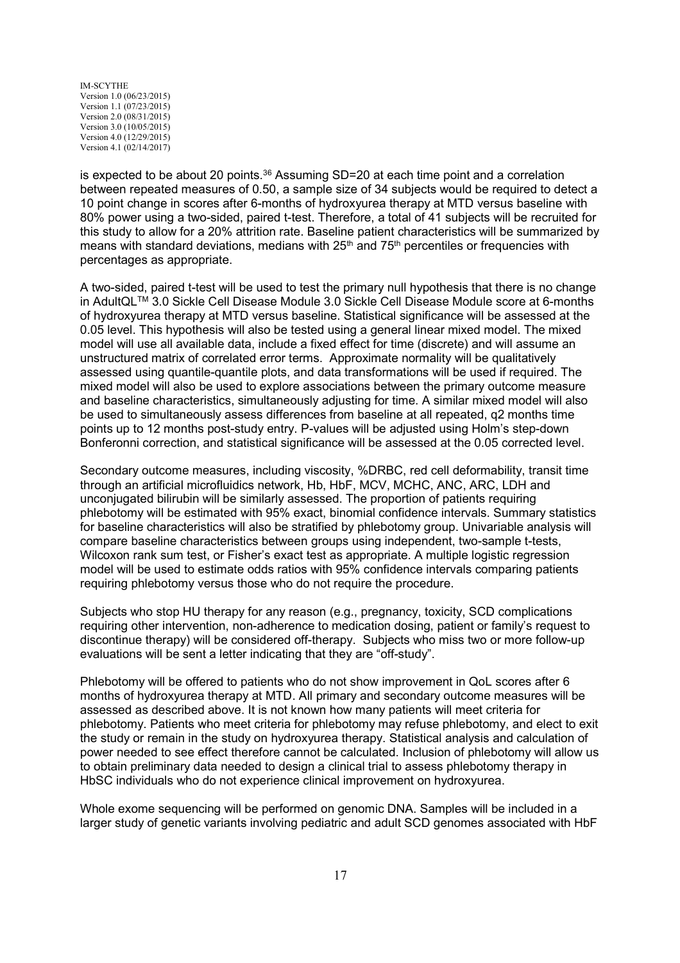is expected to be about 20 points. $36$  Assuming SD=20 at each time point and a correlation between repeated measures of 0.50, a sample size of 34 subjects would be required to detect a 10 point change in scores after 6-months of hydroxyurea therapy at MTD versus baseline with 80% power using a two-sided, paired t-test. Therefore, a total of 41 subjects will be recruited for this study to allow for a 20% attrition rate. Baseline patient characteristics will be summarized by means with standard deviations, medians with  $25<sup>th</sup>$  and  $75<sup>th</sup>$  percentiles or frequencies with percentages as appropriate.

A two-sided, paired t-test will be used to test the primary null hypothesis that there is no change in AdultQLTM 3.0 Sickle Cell Disease Module 3.0 Sickle Cell Disease Module score at 6-months of hydroxyurea therapy at MTD versus baseline. Statistical significance will be assessed at the 0.05 level. This hypothesis will also be tested using a general linear mixed model. The mixed model will use all available data, include a fixed effect for time (discrete) and will assume an unstructured matrix of correlated error terms. Approximate normality will be qualitatively assessed using quantile-quantile plots, and data transformations will be used if required. The mixed model will also be used to explore associations between the primary outcome measure and baseline characteristics, simultaneously adjusting for time. A similar mixed model will also be used to simultaneously assess differences from baseline at all repeated, q2 months time points up to 12 months post-study entry. P-values will be adjusted using Holm's step-down Bonferonni correction, and statistical significance will be assessed at the 0.05 corrected level.

Secondary outcome measures, including viscosity, %DRBC, red cell deformability, transit time through an artificial microfluidics network, Hb, HbF, MCV, MCHC, ANC, ARC, LDH and unconjugated bilirubin will be similarly assessed. The proportion of patients requiring phlebotomy will be estimated with 95% exact, binomial confidence intervals. Summary statistics for baseline characteristics will also be stratified by phlebotomy group. Univariable analysis will compare baseline characteristics between groups using independent, two-sample t-tests, Wilcoxon rank sum test, or Fisher's exact test as appropriate. A multiple logistic regression model will be used to estimate odds ratios with 95% confidence intervals comparing patients requiring phlebotomy versus those who do not require the procedure.

Subjects who stop HU therapy for any reason (e.g., pregnancy, toxicity, SCD complications requiring other intervention, non-adherence to medication dosing, patient or family's request to discontinue therapy) will be considered off-therapy. Subjects who miss two or more follow-up evaluations will be sent a letter indicating that they are "off-study".

Phlebotomy will be offered to patients who do not show improvement in QoL scores after 6 months of hydroxyurea therapy at MTD. All primary and secondary outcome measures will be assessed as described above. It is not known how many patients will meet criteria for phlebotomy. Patients who meet criteria for phlebotomy may refuse phlebotomy, and elect to exit the study or remain in the study on hydroxyurea therapy. Statistical analysis and calculation of power needed to see effect therefore cannot be calculated. Inclusion of phlebotomy will allow us to obtain preliminary data needed to design a clinical trial to assess phlebotomy therapy in HbSC individuals who do not experience clinical improvement on hydroxyurea.

Whole exome sequencing will be performed on genomic DNA. Samples will be included in a larger study of genetic variants involving pediatric and adult SCD genomes associated with HbF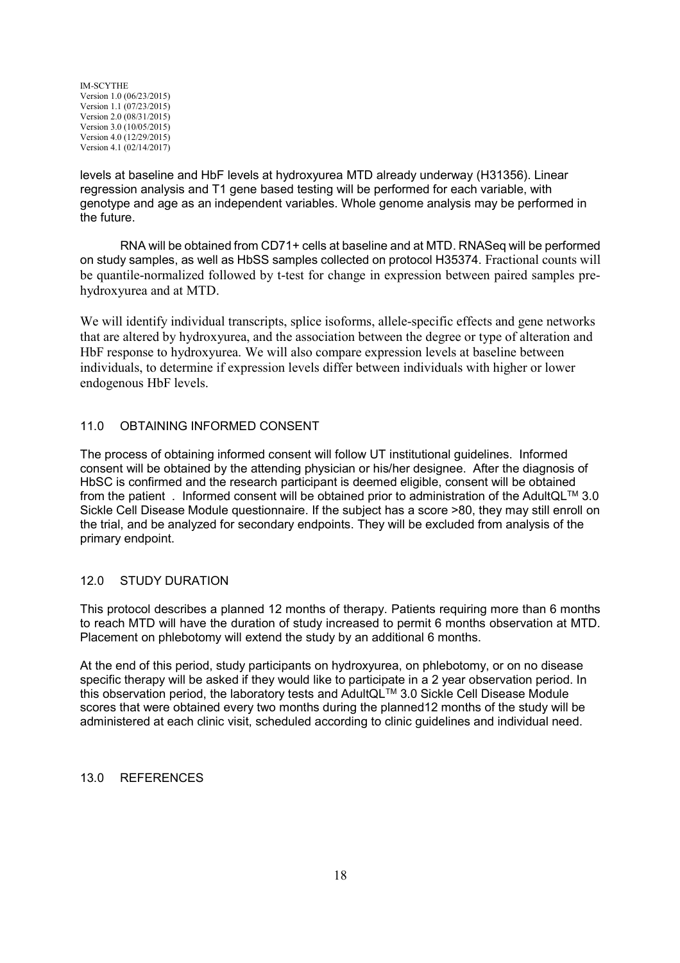levels at baseline and HbF levels at hydroxyurea MTD already underway (H31356). Linear regression analysis and T1 gene based testing will be performed for each variable, with genotype and age as an independent variables. Whole genome analysis may be performed in the future.

RNA will be obtained from CD71+ cells at baseline and at MTD. RNASeq will be performed on study samples, as well as HbSS samples collected on protocol H35374. Fractional counts will be quantile-normalized followed by t-test for change in expression between paired samples prehydroxyurea and at MTD.

We will identify individual transcripts, splice isoforms, allele-specific effects and gene networks that are altered by hydroxyurea, and the association between the degree or type of alteration and HbF response to hydroxyurea. We will also compare expression levels at baseline between individuals, to determine if expression levels differ between individuals with higher or lower endogenous HbF levels.

## 11.0 OBTAINING INFORMED CONSENT

The process of obtaining informed consent will follow UT institutional guidelines. Informed consent will be obtained by the attending physician or his/her designee. After the diagnosis of HbSC is confirmed and the research participant is deemed eligible, consent will be obtained from the patient . Informed consent will be obtained prior to administration of the AdultQLTM 3.0 Sickle Cell Disease Module questionnaire. If the subject has a score >80, they may still enroll on the trial, and be analyzed for secondary endpoints. They will be excluded from analysis of the primary endpoint.

### 12.0 STUDY DURATION

This protocol describes a planned 12 months of therapy. Patients requiring more than 6 months to reach MTD will have the duration of study increased to permit 6 months observation at MTD. Placement on phlebotomy will extend the study by an additional 6 months.

At the end of this period, study participants on hydroxyurea, on phlebotomy, or on no disease specific therapy will be asked if they would like to participate in a 2 year observation period. In this observation period, the laboratory tests and AdultQL™ 3.0 Sickle Cell Disease Module scores that were obtained every two months during the planned12 months of the study will be administered at each clinic visit, scheduled according to clinic guidelines and individual need.

### 13.0 REFERENCES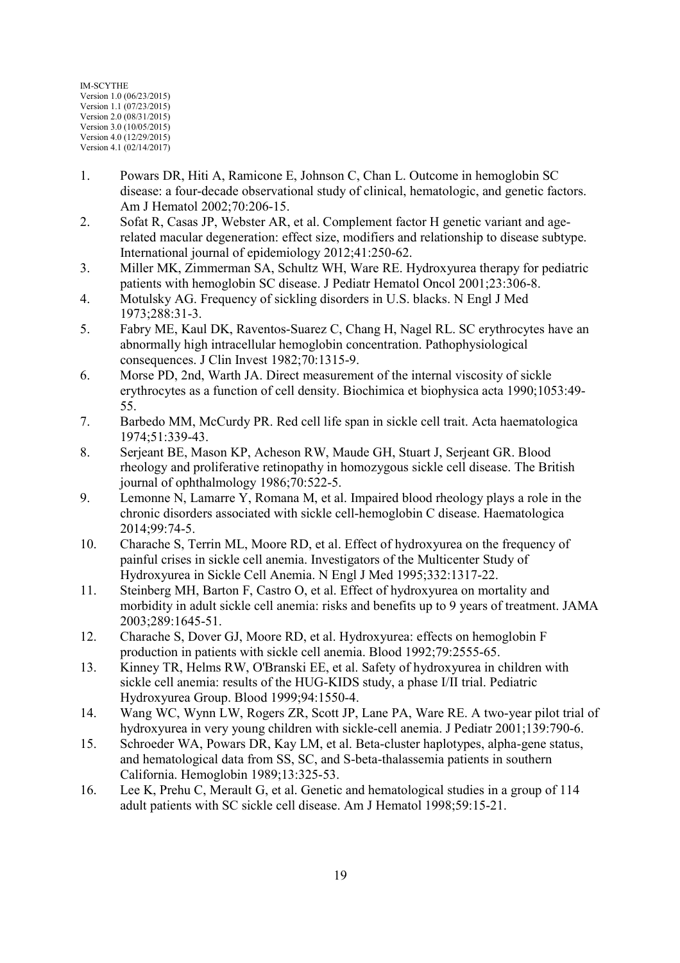- 1. Powars DR, Hiti A, Ramicone E, Johnson C, Chan L. Outcome in hemoglobin SC disease: a four-decade observational study of clinical, hematologic, and genetic factors. Am J Hematol 2002;70:206-15.
- 2. Sofat R, Casas JP, Webster AR, et al. Complement factor H genetic variant and agerelated macular degeneration: effect size, modifiers and relationship to disease subtype. International journal of epidemiology 2012;41:250-62.
- 3. Miller MK, Zimmerman SA, Schultz WH, Ware RE. Hydroxyurea therapy for pediatric patients with hemoglobin SC disease. J Pediatr Hematol Oncol 2001;23:306-8.
- 4. Motulsky AG. Frequency of sickling disorders in U.S. blacks. N Engl J Med 1973;288:31-3.
- 5. Fabry ME, Kaul DK, Raventos-Suarez C, Chang H, Nagel RL. SC erythrocytes have an abnormally high intracellular hemoglobin concentration. Pathophysiological consequences. J Clin Invest 1982;70:1315-9.
- 6. Morse PD, 2nd, Warth JA. Direct measurement of the internal viscosity of sickle erythrocytes as a function of cell density. Biochimica et biophysica acta 1990;1053:49- 55.
- 7. Barbedo MM, McCurdy PR. Red cell life span in sickle cell trait. Acta haematologica 1974;51:339-43.
- 8. Serjeant BE, Mason KP, Acheson RW, Maude GH, Stuart J, Serjeant GR. Blood rheology and proliferative retinopathy in homozygous sickle cell disease. The British journal of ophthalmology 1986;70:522-5.
- 9. Lemonne N, Lamarre Y, Romana M, et al. Impaired blood rheology plays a role in the chronic disorders associated with sickle cell-hemoglobin C disease. Haematologica 2014;99:74-5.
- 10. Charache S, Terrin ML, Moore RD, et al. Effect of hydroxyurea on the frequency of painful crises in sickle cell anemia. Investigators of the Multicenter Study of Hydroxyurea in Sickle Cell Anemia. N Engl J Med 1995;332:1317-22.
- 11. Steinberg MH, Barton F, Castro O, et al. Effect of hydroxyurea on mortality and morbidity in adult sickle cell anemia: risks and benefits up to 9 years of treatment. JAMA 2003;289:1645-51.
- 12. Charache S, Dover GJ, Moore RD, et al. Hydroxyurea: effects on hemoglobin F production in patients with sickle cell anemia. Blood 1992;79:2555-65.
- 13. Kinney TR, Helms RW, O'Branski EE, et al. Safety of hydroxyurea in children with sickle cell anemia: results of the HUG-KIDS study, a phase I/II trial. Pediatric Hydroxyurea Group. Blood 1999;94:1550-4.
- 14. Wang WC, Wynn LW, Rogers ZR, Scott JP, Lane PA, Ware RE. A two-year pilot trial of hydroxyurea in very young children with sickle-cell anemia. J Pediatr 2001;139:790-6.
- 15. Schroeder WA, Powars DR, Kay LM, et al. Beta-cluster haplotypes, alpha-gene status, and hematological data from SS, SC, and S-beta-thalassemia patients in southern California. Hemoglobin 1989;13:325-53.
- 16. Lee K, Prehu C, Merault G, et al. Genetic and hematological studies in a group of 114 adult patients with SC sickle cell disease. Am J Hematol 1998;59:15-21.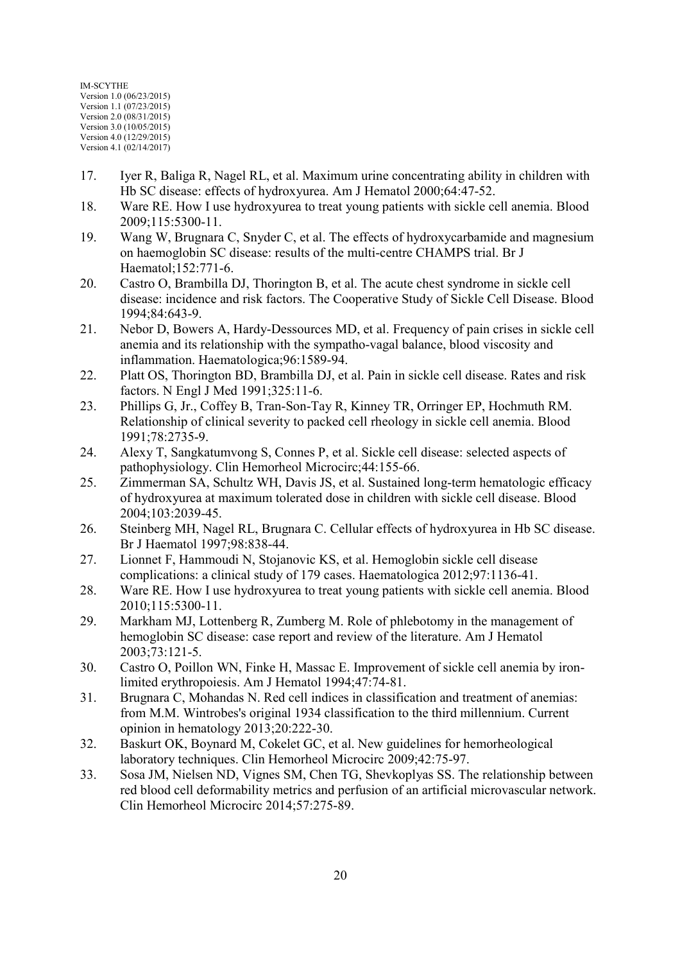- 17. Iyer R, Baliga R, Nagel RL, et al. Maximum urine concentrating ability in children with Hb SC disease: effects of hydroxyurea. Am J Hematol 2000;64:47-52.
- 18. Ware RE. How I use hydroxyurea to treat young patients with sickle cell anemia. Blood 2009;115:5300-11.
- 19. Wang W, Brugnara C, Snyder C, et al. The effects of hydroxycarbamide and magnesium on haemoglobin SC disease: results of the multi-centre CHAMPS trial. Br J Haematol;152:771-6.
- 20. Castro O, Brambilla DJ, Thorington B, et al. The acute chest syndrome in sickle cell disease: incidence and risk factors. The Cooperative Study of Sickle Cell Disease. Blood 1994;84:643-9.
- 21. Nebor D, Bowers A, Hardy-Dessources MD, et al. Frequency of pain crises in sickle cell anemia and its relationship with the sympatho-vagal balance, blood viscosity and inflammation. Haematologica;96:1589-94.
- 22. Platt OS, Thorington BD, Brambilla DJ, et al. Pain in sickle cell disease. Rates and risk factors. N Engl J Med 1991;325:11-6.
- 23. Phillips G, Jr., Coffey B, Tran-Son-Tay R, Kinney TR, Orringer EP, Hochmuth RM. Relationship of clinical severity to packed cell rheology in sickle cell anemia. Blood 1991;78:2735-9.
- 24. Alexy T, Sangkatumvong S, Connes P, et al. Sickle cell disease: selected aspects of pathophysiology. Clin Hemorheol Microcirc;44:155-66.
- 25. Zimmerman SA, Schultz WH, Davis JS, et al. Sustained long-term hematologic efficacy of hydroxyurea at maximum tolerated dose in children with sickle cell disease. Blood 2004;103:2039-45.
- 26. Steinberg MH, Nagel RL, Brugnara C. Cellular effects of hydroxyurea in Hb SC disease. Br J Haematol 1997;98:838-44.
- 27. Lionnet F, Hammoudi N, Stojanovic KS, et al. Hemoglobin sickle cell disease complications: a clinical study of 179 cases. Haematologica 2012;97:1136-41.
- 28. Ware RE. How I use hydroxyurea to treat young patients with sickle cell anemia. Blood 2010;115:5300-11.
- 29. Markham MJ, Lottenberg R, Zumberg M. Role of phlebotomy in the management of hemoglobin SC disease: case report and review of the literature. Am J Hematol 2003;73:121-5.
- 30. Castro O, Poillon WN, Finke H, Massac E. Improvement of sickle cell anemia by ironlimited erythropoiesis. Am J Hematol 1994;47:74-81.
- 31. Brugnara C, Mohandas N. Red cell indices in classification and treatment of anemias: from M.M. Wintrobes's original 1934 classification to the third millennium. Current opinion in hematology 2013;20:222-30.
- 32. Baskurt OK, Boynard M, Cokelet GC, et al. New guidelines for hemorheological laboratory techniques. Clin Hemorheol Microcirc 2009;42:75-97.
- 33. Sosa JM, Nielsen ND, Vignes SM, Chen TG, Shevkoplyas SS. The relationship between red blood cell deformability metrics and perfusion of an artificial microvascular network. Clin Hemorheol Microcirc 2014;57:275-89.